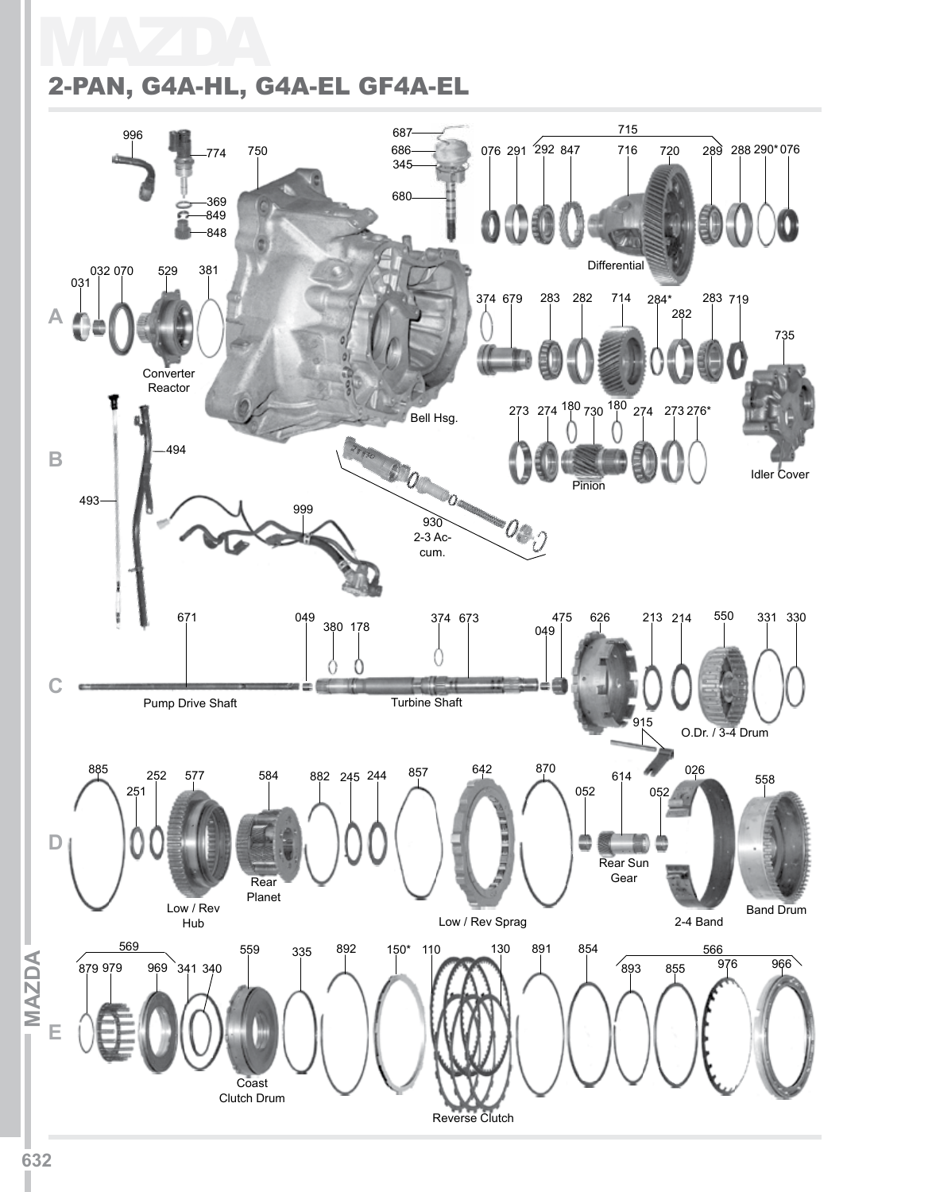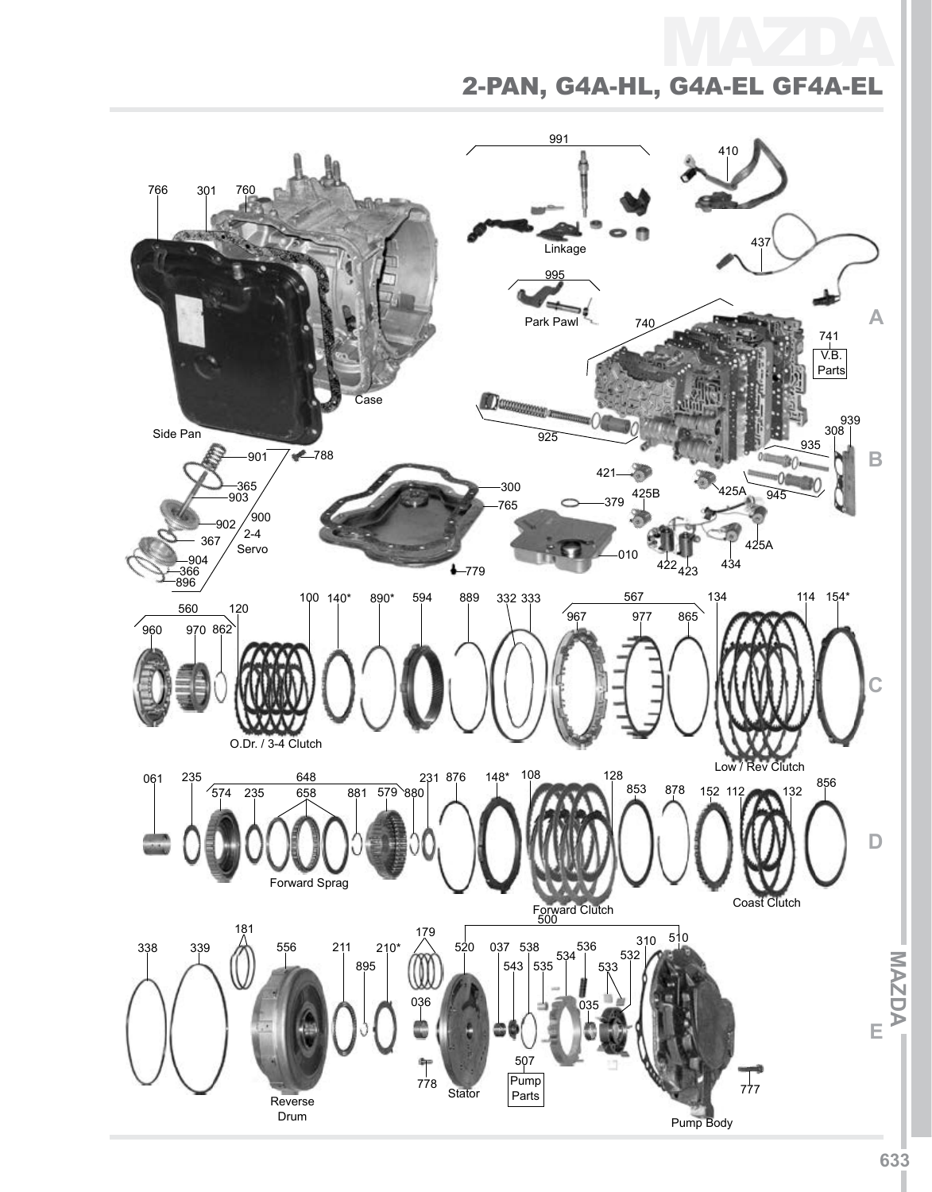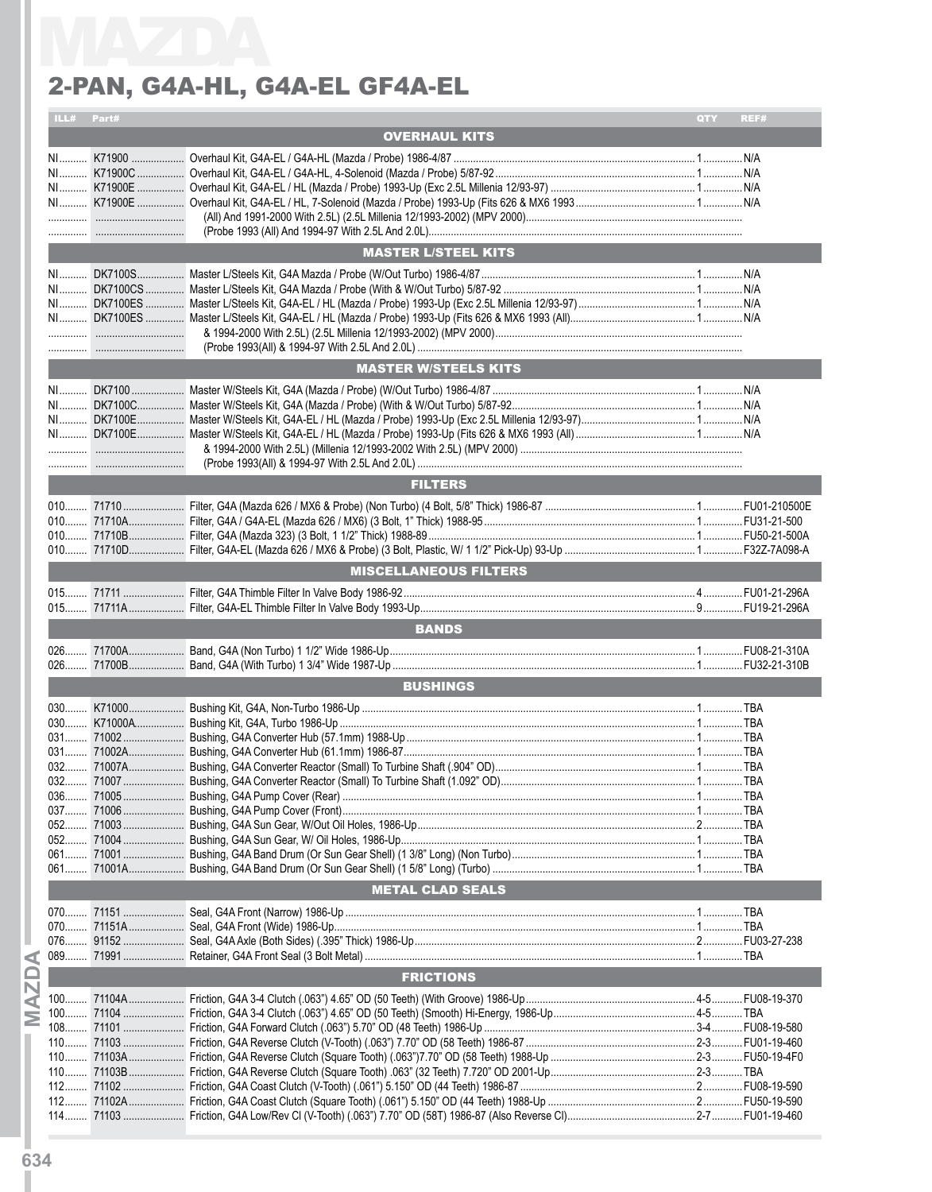| Part#<br><b>ILL#</b>                         |                              | QTY | REF# |
|----------------------------------------------|------------------------------|-----|------|
|                                              | <b>OVERHAUL KITS</b>         |     |      |
| the control of the control of the control of |                              |     |      |
|                                              | <b>MASTER L/STEEL KITS</b>   |     |      |
|                                              |                              |     |      |
|                                              | <b>MASTER W/STEELS KITS</b>  |     |      |
|                                              |                              |     |      |
|                                              | <b>FILTERS</b>               |     |      |
|                                              | <b>MISCELLANEOUS FILTERS</b> |     |      |
|                                              |                              |     |      |
|                                              |                              |     |      |
|                                              | <b>BANDS</b>                 |     |      |
|                                              |                              |     |      |
|                                              | <b>BUSHINGS</b>              |     |      |
|                                              |                              |     |      |
|                                              | <b>METAL CLAD SEALS</b>      |     |      |
|                                              |                              |     |      |
|                                              | <b>FRICTIONS</b>             |     |      |
|                                              |                              |     |      |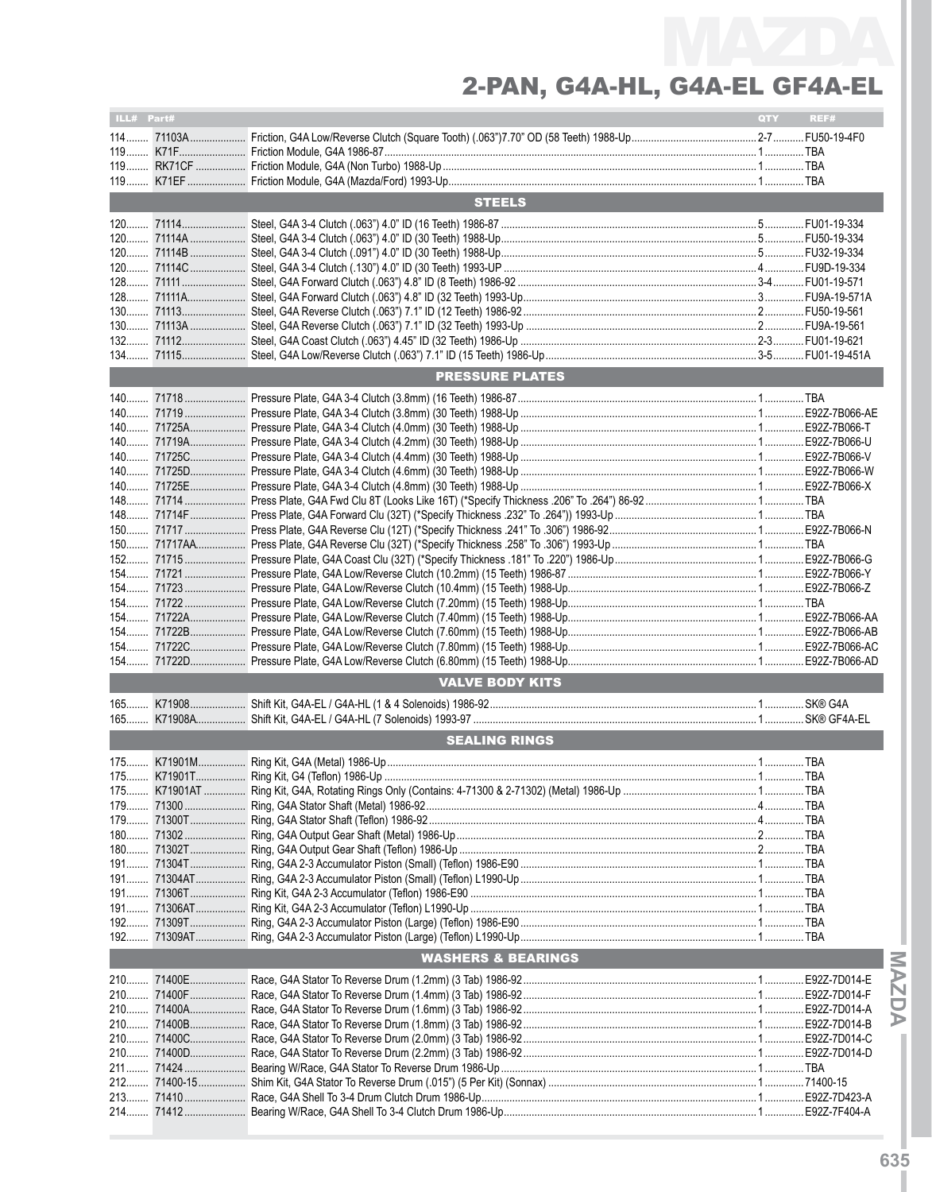| ILL# Part# |          |                               | QTY | REF#  |
|------------|----------|-------------------------------|-----|-------|
|            |          |                               |     |       |
|            |          |                               |     |       |
|            |          |                               |     |       |
|            |          |                               |     |       |
|            |          |                               |     |       |
|            |          | <b>STEELS</b>                 |     |       |
|            |          |                               |     |       |
|            |          |                               |     |       |
|            |          |                               |     |       |
|            |          |                               |     |       |
|            |          |                               |     |       |
|            |          |                               |     |       |
|            |          |                               |     |       |
|            |          |                               |     |       |
|            |          |                               |     |       |
|            |          |                               |     |       |
|            |          | <b>PRESSURE PLATES</b>        |     |       |
|            |          |                               |     |       |
|            |          |                               |     |       |
|            |          |                               |     |       |
|            |          |                               |     |       |
|            |          |                               |     |       |
|            |          |                               |     |       |
|            |          |                               |     |       |
|            |          |                               |     |       |
|            |          |                               |     |       |
|            |          |                               |     |       |
|            |          |                               |     |       |
|            |          |                               |     |       |
|            |          |                               |     |       |
|            |          |                               |     |       |
|            |          |                               |     |       |
|            |          |                               |     |       |
|            |          |                               |     |       |
|            |          |                               |     |       |
|            |          |                               |     |       |
|            |          |                               |     |       |
|            |          | <b>VALVE BODY KITS</b>        |     |       |
|            |          |                               |     |       |
|            |          |                               |     |       |
|            |          |                               |     |       |
|            |          | <b>SEALING RINGS</b>          |     |       |
|            |          |                               |     |       |
|            |          |                               |     |       |
| 175        | K71901AT |                               |     | . TBA |
|            |          |                               |     |       |
|            |          |                               |     |       |
|            |          |                               |     |       |
|            |          |                               |     |       |
|            |          |                               |     |       |
|            |          |                               |     |       |
|            |          |                               |     |       |
|            |          |                               |     |       |
|            |          |                               |     |       |
|            |          |                               |     |       |
|            |          |                               |     |       |
|            |          | <b>WASHERS &amp; BEARINGS</b> |     |       |
|            |          |                               |     |       |
|            |          |                               |     |       |
|            |          |                               |     |       |
|            |          |                               |     |       |
|            |          |                               |     |       |
|            |          |                               |     |       |
|            |          |                               |     |       |
|            |          |                               |     |       |
|            |          |                               |     |       |
|            |          |                               |     |       |
|            |          |                               |     |       |

**IMaz**

**d aI**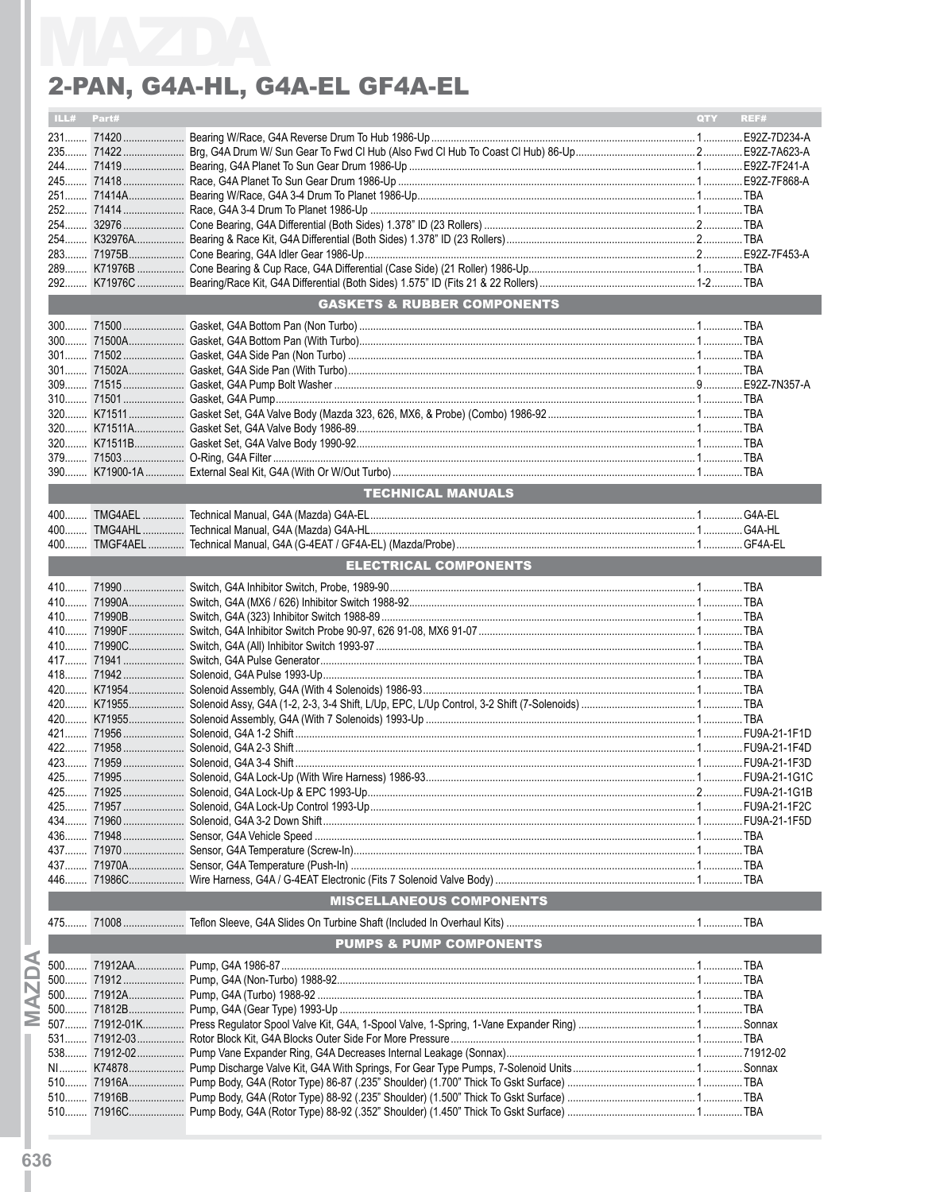# 2-PAN, G4A-HL, G4A-EL GF4A-EL

| ILL# Part# |                                        | QTY REF# |  |
|------------|----------------------------------------|----------|--|
|            |                                        |          |  |
|            |                                        |          |  |
|            |                                        |          |  |
|            |                                        |          |  |
|            |                                        |          |  |
|            |                                        |          |  |
|            |                                        |          |  |
|            |                                        |          |  |
|            |                                        |          |  |
|            |                                        |          |  |
|            |                                        |          |  |
|            | <b>GASKETS &amp; RUBBER COMPONENTS</b> |          |  |
|            |                                        |          |  |
|            |                                        |          |  |
|            |                                        |          |  |
|            |                                        |          |  |
|            |                                        |          |  |
|            |                                        |          |  |
|            |                                        |          |  |
|            |                                        |          |  |
|            |                                        |          |  |
|            |                                        |          |  |
|            |                                        |          |  |
|            | <b>TECHNICAL MANUALS</b>               |          |  |
|            |                                        |          |  |
|            |                                        |          |  |
|            |                                        |          |  |
|            | <b>ELECTRICAL COMPONENTS</b>           |          |  |
|            |                                        |          |  |
|            |                                        |          |  |
|            |                                        |          |  |
|            |                                        |          |  |
|            |                                        |          |  |
|            |                                        |          |  |
|            |                                        |          |  |
|            |                                        |          |  |
|            |                                        |          |  |
|            |                                        |          |  |
|            |                                        |          |  |
|            |                                        |          |  |
|            |                                        |          |  |
|            |                                        |          |  |
|            |                                        |          |  |
|            |                                        |          |  |
|            |                                        |          |  |
|            |                                        |          |  |
|            |                                        |          |  |
|            |                                        |          |  |
|            |                                        |          |  |
|            | <b>MISCELLANEOUS COMPONENTS</b>        |          |  |
|            |                                        |          |  |
|            | <b>PUMPS &amp; PUMP COMPONENTS</b>     |          |  |
|            |                                        |          |  |
|            |                                        |          |  |
|            |                                        |          |  |
| Σ          |                                        |          |  |
|            |                                        |          |  |
|            |                                        |          |  |
|            |                                        |          |  |
|            |                                        |          |  |
|            |                                        |          |  |
|            |                                        |          |  |
|            |                                        |          |  |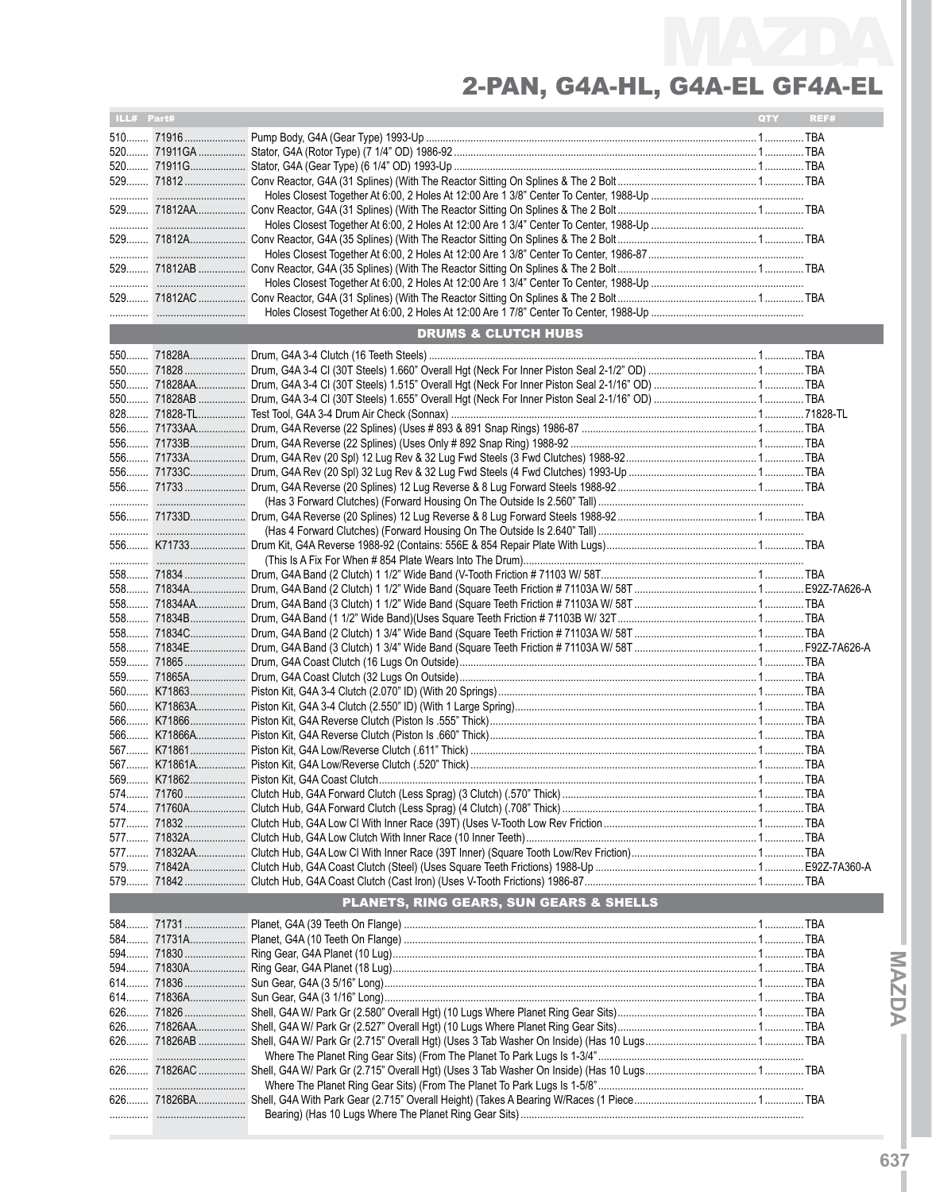| ILL# Part# |            |                                         | QTY | REF# |
|------------|------------|-----------------------------------------|-----|------|
|            |            |                                         |     |      |
|            |            |                                         |     |      |
|            |            |                                         |     |      |
|            |            |                                         |     |      |
|            |            |                                         |     |      |
|            |            |                                         |     |      |
|            |            |                                         |     |      |
|            |            |                                         |     |      |
|            |            |                                         |     |      |
|            |            |                                         |     |      |
|            |            |                                         |     |      |
|            |            |                                         |     |      |
|            |            |                                         |     |      |
|            |            | <b>DRUMS &amp; CLUTCH HUBS</b>          |     |      |
|            |            |                                         |     |      |
|            |            |                                         |     |      |
|            |            |                                         |     |      |
|            |            |                                         |     |      |
|            |            |                                         |     |      |
|            |            |                                         |     |      |
|            |            |                                         |     |      |
|            |            |                                         |     |      |
|            |            |                                         |     |      |
|            |            |                                         |     |      |
|            |            |                                         |     |      |
|            |            |                                         |     |      |
|            |            |                                         |     |      |
|            |            |                                         |     |      |
|            |            |                                         |     |      |
|            |            |                                         |     |      |
|            |            |                                         |     |      |
|            |            |                                         |     |      |
|            |            |                                         |     |      |
|            | 558 71834B |                                         |     |      |
|            |            |                                         |     |      |
|            |            |                                         |     |      |
|            |            |                                         |     |      |
|            |            |                                         |     |      |
|            |            |                                         |     |      |
|            |            |                                         |     |      |
|            |            |                                         |     |      |
|            |            |                                         |     |      |
|            |            |                                         |     |      |
|            |            |                                         |     |      |
|            |            |                                         |     |      |
|            |            |                                         |     |      |
|            |            |                                         |     |      |
|            | 577  71832 |                                         |     |      |
|            |            |                                         |     |      |
|            |            |                                         |     |      |
|            |            |                                         |     |      |
|            |            |                                         |     |      |
|            |            | PLANETS, RING GEARS, SUN GEARS & SHELLS |     |      |
|            |            |                                         |     |      |
|            |            |                                         |     |      |
|            |            |                                         |     |      |
|            |            |                                         |     |      |
|            | 614 71836  |                                         |     |      |
|            |            |                                         |     |      |
|            |            |                                         |     |      |
|            |            |                                         |     |      |
|            |            |                                         |     |      |
|            |            |                                         |     |      |
|            |            |                                         |     |      |
|            |            |                                         |     |      |
|            |            |                                         |     |      |
|            |            |                                         |     |      |
|            |            |                                         |     |      |

**IMaz**

**d aI**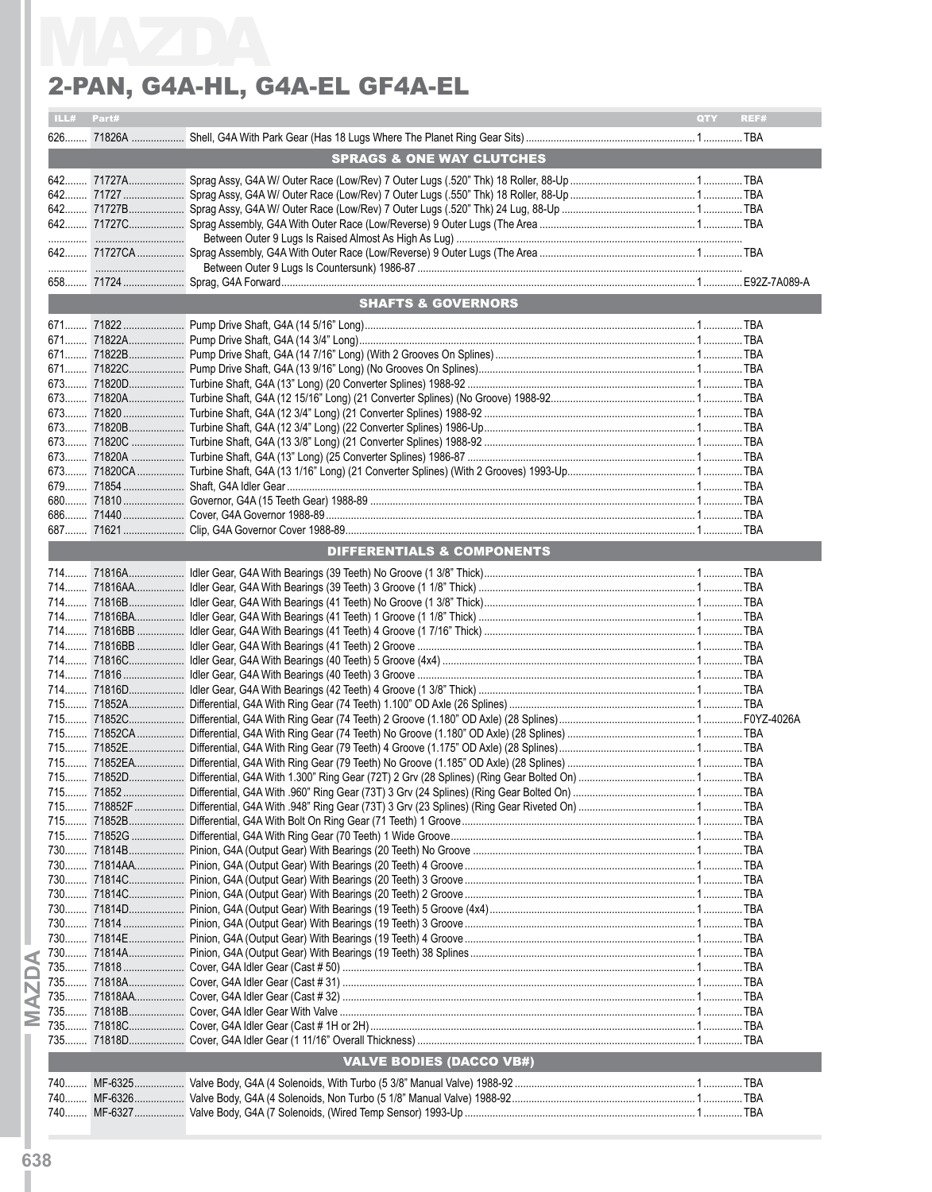| Part#<br>ILL# |                                       | QTY | REF# |
|---------------|---------------------------------------|-----|------|
|               |                                       |     |      |
|               | <b>SPRAGS &amp; ONE WAY CLUTCHES</b>  |     |      |
|               |                                       |     |      |
|               |                                       |     |      |
|               |                                       |     |      |
|               |                                       |     |      |
|               |                                       |     |      |
|               |                                       |     |      |
|               |                                       |     |      |
|               | <b>SHAFTS &amp; GOVERNORS</b>         |     |      |
|               |                                       |     |      |
|               |                                       |     |      |
|               |                                       |     |      |
|               |                                       |     |      |
|               |                                       |     |      |
|               |                                       |     |      |
|               |                                       |     |      |
|               |                                       |     |      |
|               |                                       |     |      |
|               |                                       |     |      |
|               |                                       |     |      |
|               |                                       |     |      |
|               |                                       |     |      |
|               | <b>DIFFERENTIALS &amp; COMPONENTS</b> |     |      |
|               |                                       |     |      |
|               |                                       |     |      |
|               |                                       |     |      |
|               |                                       |     |      |
|               |                                       |     |      |
|               |                                       |     |      |
|               |                                       |     |      |
|               |                                       |     |      |
|               |                                       |     |      |
|               |                                       |     |      |
|               |                                       |     |      |
|               |                                       |     |      |
|               |                                       |     |      |
|               |                                       |     |      |
|               |                                       |     |      |
|               |                                       |     |      |
|               |                                       |     |      |
|               |                                       |     |      |
|               |                                       |     |      |
|               |                                       |     |      |
|               |                                       |     |      |
|               |                                       |     |      |
|               |                                       |     |      |
|               |                                       |     |      |
|               |                                       |     |      |
|               |                                       |     |      |
|               |                                       |     |      |
|               |                                       |     |      |
|               |                                       |     |      |
|               | <b>VALVE BODIES (DACCO VB#)</b>       |     |      |
|               |                                       |     |      |
|               |                                       |     |      |
|               |                                       |     |      |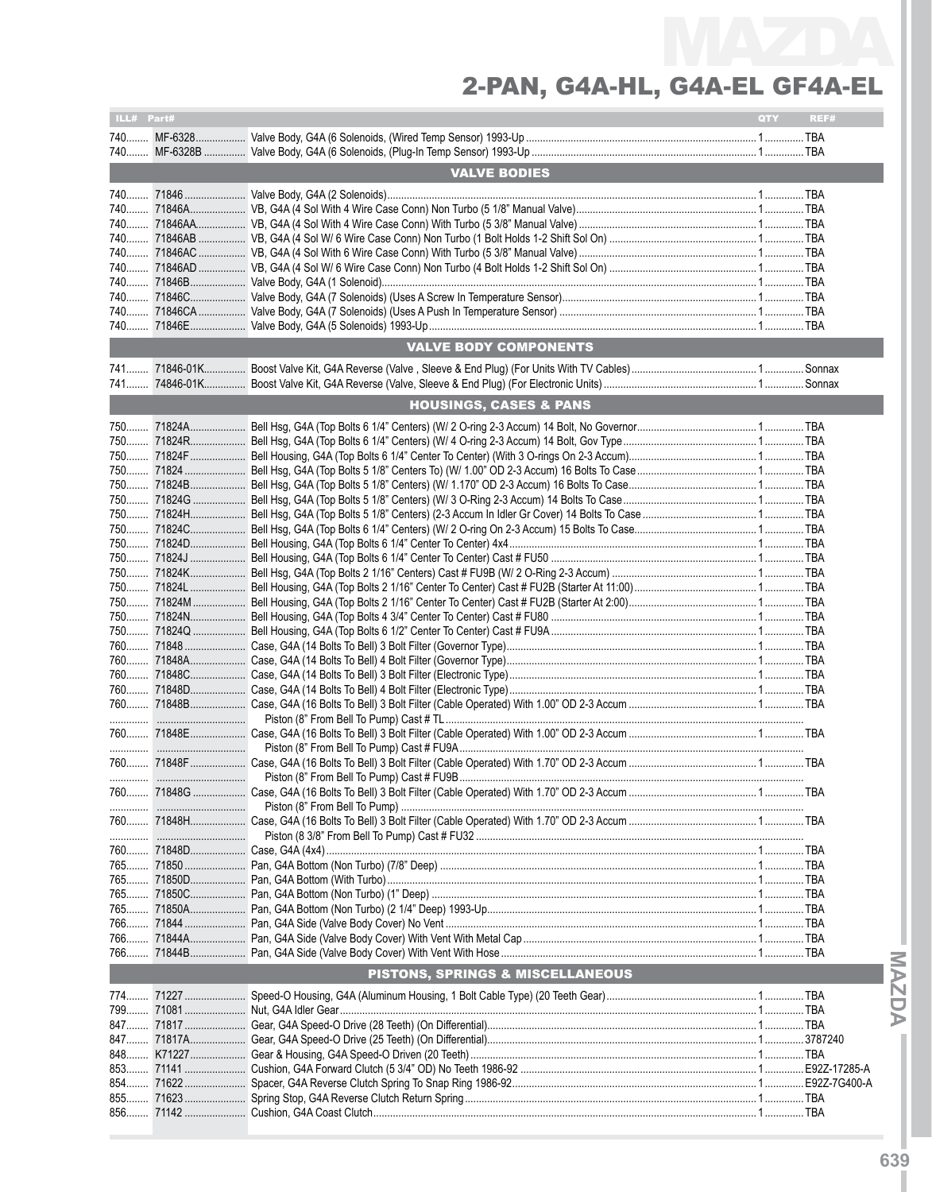| ILL# Part# |            |                                   | QTY | REF# |
|------------|------------|-----------------------------------|-----|------|
|            |            |                                   |     |      |
|            |            |                                   |     |      |
|            |            |                                   |     |      |
|            |            | <b>VALVE BODIES</b>               |     |      |
|            |            |                                   |     |      |
|            |            |                                   |     |      |
|            |            |                                   |     |      |
|            |            |                                   |     |      |
|            |            |                                   |     |      |
|            |            |                                   |     |      |
|            |            |                                   |     |      |
|            |            |                                   |     |      |
|            |            |                                   |     |      |
|            |            |                                   |     |      |
|            |            |                                   |     |      |
|            |            | VALVE BODY COMPONENTS             |     |      |
|            |            |                                   |     |      |
|            |            |                                   |     |      |
|            |            |                                   |     |      |
|            |            | <b>HOUSINGS, CASES &amp; PANS</b> |     |      |
|            |            |                                   |     |      |
|            |            |                                   |     |      |
|            |            |                                   |     |      |
|            |            |                                   |     |      |
|            |            |                                   |     |      |
|            |            |                                   |     |      |
|            |            |                                   |     |      |
|            |            |                                   |     |      |
|            |            |                                   |     |      |
|            |            |                                   |     |      |
|            |            |                                   |     |      |
|            |            |                                   |     |      |
|            |            |                                   |     |      |
|            |            |                                   |     |      |
|            |            |                                   |     |      |
|            |            |                                   |     |      |
|            |            |                                   |     |      |
|            |            |                                   |     |      |
|            |            |                                   |     |      |
|            |            |                                   |     |      |
|            |            |                                   |     |      |
|            |            |                                   |     |      |
|            |            |                                   |     |      |
|            |            |                                   |     |      |
|            |            |                                   |     |      |
|            |            |                                   |     |      |
|            | 760 71848G |                                   |     |      |
|            |            |                                   |     |      |
|            |            |                                   |     |      |
|            |            |                                   |     |      |
|            |            |                                   |     |      |
|            |            |                                   |     |      |
|            |            |                                   |     |      |
|            |            |                                   |     |      |
|            |            |                                   |     |      |
|            |            |                                   |     |      |
|            |            |                                   |     |      |
|            |            |                                   |     |      |
|            |            |                                   |     |      |
|            |            | PISTONS, SPRINGS & MISCELLANEOUS  |     |      |
|            |            |                                   |     |      |
|            |            |                                   |     |      |
|            |            |                                   |     |      |
|            |            |                                   |     |      |
|            |            |                                   |     |      |
|            |            |                                   |     |      |
|            |            |                                   |     |      |
|            | 854 71622  |                                   |     |      |
|            |            |                                   |     |      |
|            |            |                                   |     |      |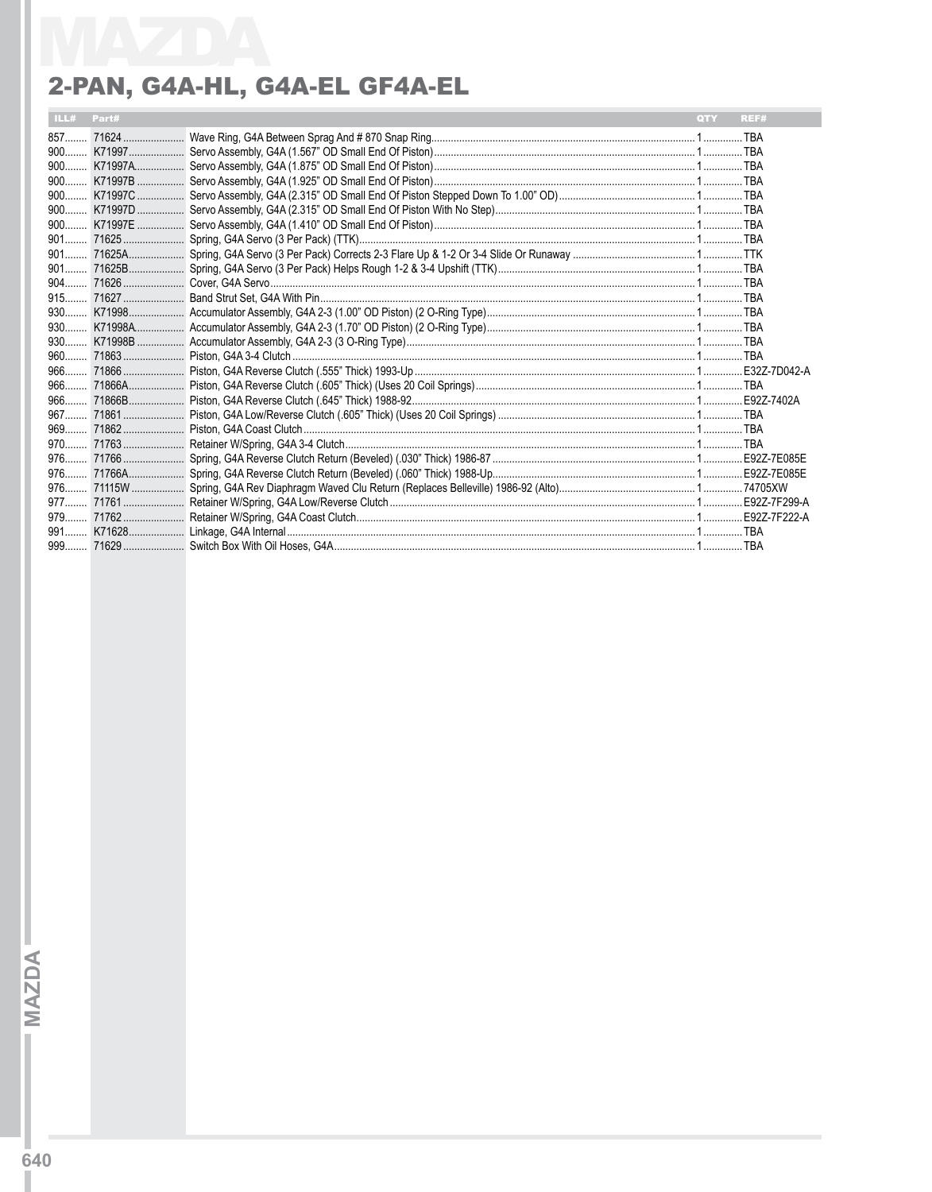#### 2-PAN, G4A-HL, G4A-EL GF4A-EL

| ILL# Part# |  | <b>QTY</b> | REF# |
|------------|--|------------|------|
|            |  |            |      |
|            |  |            |      |
|            |  |            |      |
|            |  |            |      |
|            |  |            |      |
|            |  |            |      |
|            |  |            |      |
|            |  |            |      |
|            |  |            |      |
|            |  |            |      |
|            |  |            |      |
|            |  |            |      |
|            |  |            |      |
|            |  |            |      |
|            |  |            |      |
|            |  |            |      |
|            |  |            |      |
|            |  |            |      |
|            |  |            |      |
|            |  |            |      |
|            |  |            |      |
|            |  |            |      |
|            |  |            |      |
|            |  |            |      |
|            |  |            |      |
|            |  |            |      |
|            |  |            |      |
|            |  |            |      |
|            |  |            |      |